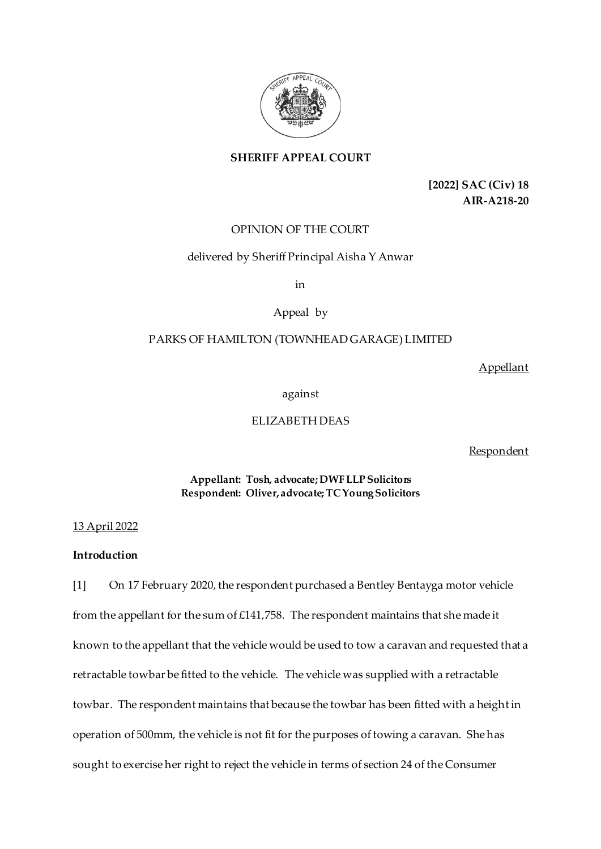

# **SHERIFF APPEAL COURT**

**[2022] SAC (Civ) 18 AIR-A218-20**

# OPINION OF THE COURT

## delivered by Sheriff Principal Aisha Y Anwar

in

# Appeal by

# PARKS OF HAMILTON (TOWNHEAD GARAGE) LIMITED

Appellant

against

## ELIZABETH DEAS

**Respondent** 

**Appellant: Tosh, advocate; DWF LLP Solicitors Respondent: Oliver, advocate; TC Young Solicitors**

## 13 April 2022

# **Introduction**

[1] On 17 February 2020, the respondent purchased a Bentley Bentayga motor vehicle from the appellant for the sum of £141,758. The respondent maintains that she made it known to the appellant that the vehicle would be used to tow a caravan and requested that a retractable towbar be fitted to the vehicle. The vehicle was supplied with a retractable towbar. The respondent maintains that because the towbar has been fitted with a height in operation of 500mm, the vehicle is not fit for the purposes of towing a caravan. She has sought to exercise her right to reject the vehicle in terms of section 24 of the Consumer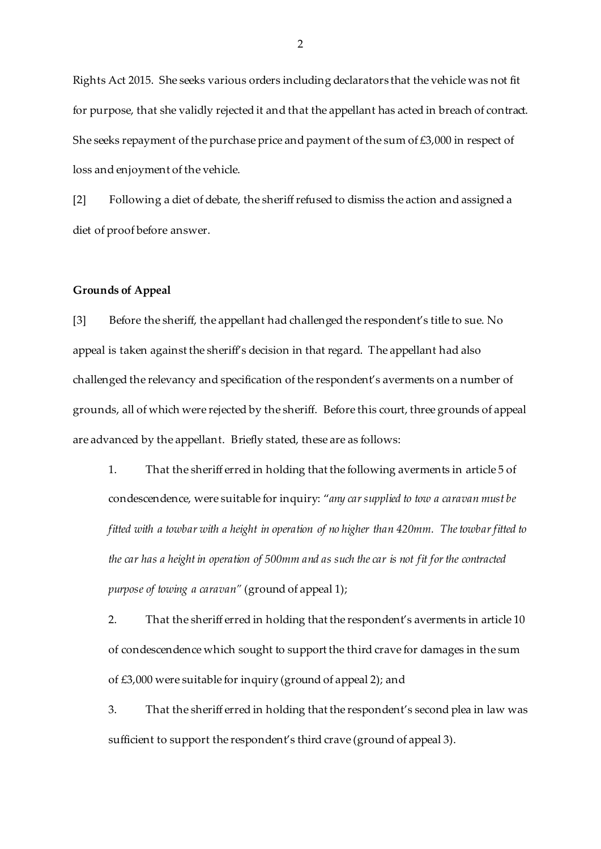Rights Act 2015. She seeks various orders including declarators that the vehicle was not fit for purpose, that she validly rejected it and that the appellant has acted in breach of contract. She seeks repayment of the purchase price and payment of the sum of  $£3,000$  in respect of loss and enjoyment of the vehicle.

[2] Following a diet of debate, the sheriff refused to dismiss the action and assigned a diet of proof before answer.

### **Grounds of Appeal**

[3] Before the sheriff, the appellant had challenged the respondent's title to sue. No appeal is taken against the sheriff's decision in that regard. The appellant had also challenged the relevancy and specification of the respondent's averments on a number of grounds, all of which were rejected by the sheriff. Before this court, three grounds of appeal are advanced by the appellant. Briefly stated, these are as follows:

1. That the sheriff erred in holding that the following averments in article 5 of condescendence, were suitable for inquiry: "*any car supplied to tow a caravan must be fitted with a towbar with a height in operation of no higher than 420mm. The towbar fitted to the car has a height in operation of 500mm and as such the car is not fit for the contracted purpose of towing a caravan"* (ground of appeal 1);

2. That the sheriff erred in holding that the respondent's averments in article 10 of condescendence which sought to support the third crave for damages in the sum of £3,000 were suitable for inquiry (ground of appeal 2); and

3. That the sheriff erred in holding that the respondent's second plea in law was sufficient to support the respondent's third crave (ground of appeal 3).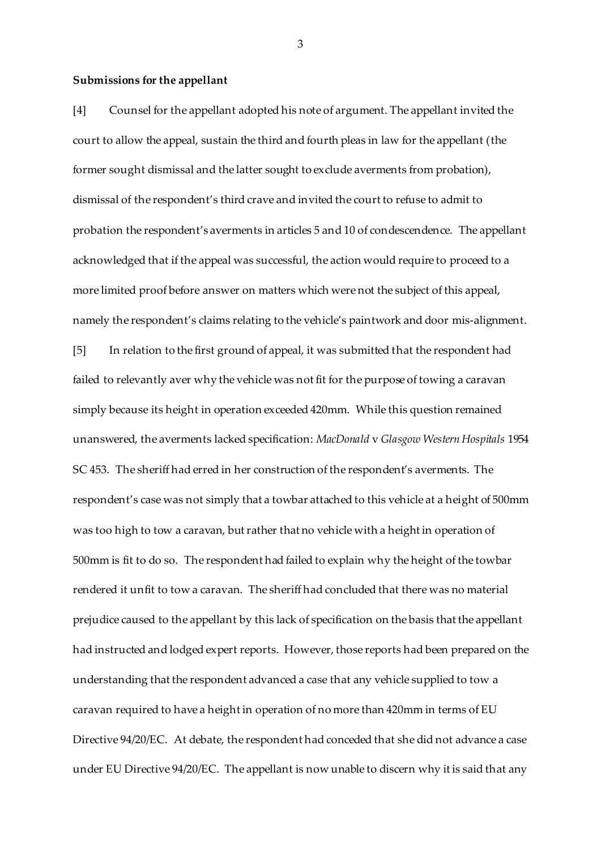#### **Submissions for the appellant**

[4] Counsel for the appellant adopted his note of argument. The appellant invited the court to allow the appeal, sustain the third and fourth pleas in law for the appellant (the former sought dismissal and the latter sought to exclude averments from probation), dismissal of the respondent's third crave and invited the court to refuse to admit to probation the respondent's averments in articles 5 and 10 of condescendence. The appellant acknowledged that if the appeal was successful, the action would require to proceed to a more limited proof before answer on matters which were not the subject of this appeal, namely the respondent's claims relating to the vehicle's paintwork and door mis-alignment. [5] In relation to the first ground of appeal, it was submitted that the respondent had failed to relevantly aver why the vehicle was not fit for the purpose of towing a caravan simply because its height in operation exceeded 420mm. While this question remained unanswered, the averments lacked specification: *MacDonald* v *Glasgow Western Hospitals* 1954 SC 453. The sheriff had erred in her construction of the respondent's averments. The respondent's case was not simply that a towbar attached to this vehicle at a height of 500mm was too high to tow a caravan, but rather that no vehicle with a height in operation of 500mm is fit to do so. The respondent had failed to explain why the height of the towbar rendered it unfit to tow a caravan. The sheriff had concluded that there was no material prejudice caused to the appellant by this lack of specification on the basis that the appellant had instructed and lodged expert reports. However, those reports had been prepared on the understanding that the respondent advanced a case that any vehicle supplied to tow a caravan required to have a height in operation of no more than 420mm in terms of EU Directive 94/20/EC. At debate, the respondent had conceded that she did not advance a case under EU Directive 94/20/EC. The appellant is now unable to discern why it is said that any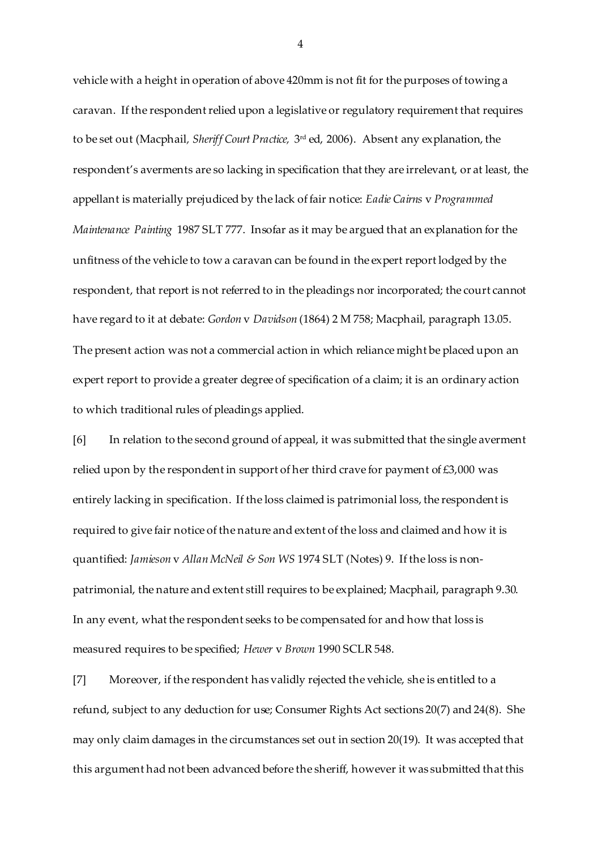vehicle with a height in operation of above 420mm is not fit for the purposes of towing a caravan. If the respondent relied upon a legislative or regulatory requirement that requires to be set out (Macphail*, Sheriff Court Practice,* 3 rd ed, 2006). Absent any explanation, the respondent's averments are so lacking in specification that they are irrelevant, or at least, the appellant is materially prejudiced by the lack of fair notice: *Eadie Cairns* v *Programmed Maintenance Painting* 1987 SLT 777. Insofar as it may be argued that an explanation for the unfitness of the vehicle to tow a caravan can be found in the expert report lodged by the respondent, that report is not referred to in the pleadings nor incorporated; the court cannot have regard to it at debate: *Gordon* v *Davidson* (1864) 2 M 758; Macphail, paragraph 13.05. The present action was not a commercial action in which reliance might be placed upon an expert report to provide a greater degree of specification of a claim; it is an ordinary action to which traditional rules of pleadings applied.

[6] In relation to the second ground of appeal, it was submitted that the single averment relied upon by the respondent in support of her third crave for payment of  $\text{\pounds}3,000$  was entirely lacking in specification. If the loss claimed is patrimonial loss, the respondent is required to give fair notice of the nature and extent of the loss and claimed and how it is quantified: *Jamieson* v *Allan McNeil & Son WS* 1974 SLT (Notes) 9. If the loss is nonpatrimonial, the nature and extent still requires to be explained; Macphail, paragraph 9.30. In any event, what the respondent seeks to be compensated for and how that loss is measured requires to be specified; *Hewer* v *Brown* 1990 SCLR 548.

[7] Moreover, if the respondent has validly rejected the vehicle, she is entitled to a refund, subject to any deduction for use; Consumer Rights Act sections 20(7) and 24(8). She may only claim damages in the circumstances set out in section 20(19). It was accepted that this argument had not been advanced before the sheriff, however it was submitted that this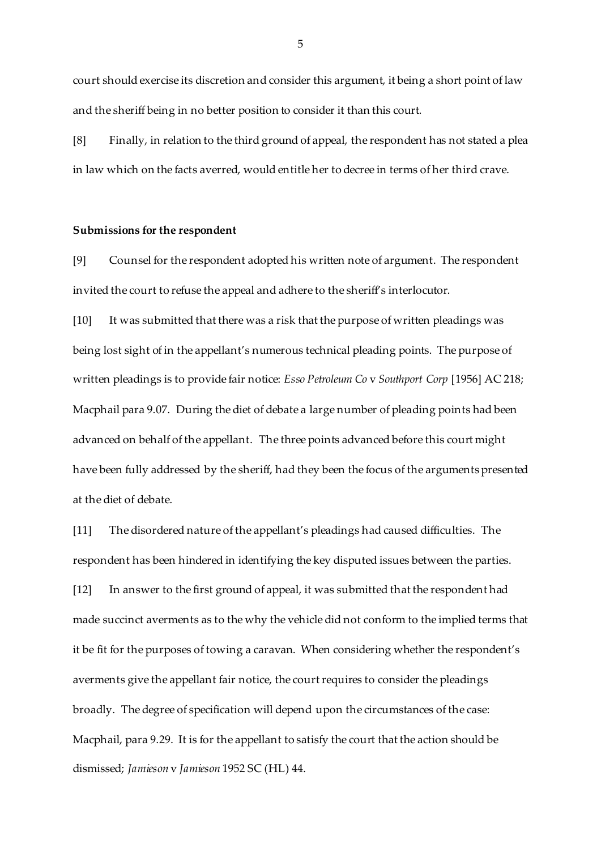court should exercise its discretion and consider this argument, it being a short point of law and the sheriff being in no better position to consider it than this court.

[8] Finally, in relation to the third ground of appeal, the respondent has not stated a plea in law which on the facts averred, would entitle her to decree in terms of her third crave.

#### **Submissions for the respondent**

[9] Counsel for the respondent adopted his written note of argument. The respondent invited the court to refuse the appeal and adhere to the sheriff's interlocutor.

[10] It was submitted that there was a risk that the purpose of written pleadings was being lost sight of in the appellant's numerous technical pleading points. The purpose of written pleadings is to provide fair notice: *Esso Petroleum Co* v *Southport Corp* [1956] AC 218; Macphail para 9.07. During the diet of debate a large number of pleading points had been advanced on behalf of the appellant. The three points advanced before this court might have been fully addressed by the sheriff, had they been the focus of the arguments presented at the diet of debate.

[11] The disordered nature of the appellant's pleadings had caused difficulties. The respondent has been hindered in identifying the key disputed issues between the parties. [12] In answer to the first ground of appeal, it was submitted that the respondent had made succinct averments as to the why the vehicle did not conform to the implied terms that it be fit for the purposes of towing a caravan. When considering whether the respondent's averments give the appellant fair notice, the court requires to consider the pleadings broadly. The degree of specification will depend upon the circumstances of the case: Macphail, para 9.29. It is for the appellant to satisfy the court that the action should be dismissed; *Jamieson* v *Jamieson* 1952 SC (HL) 44.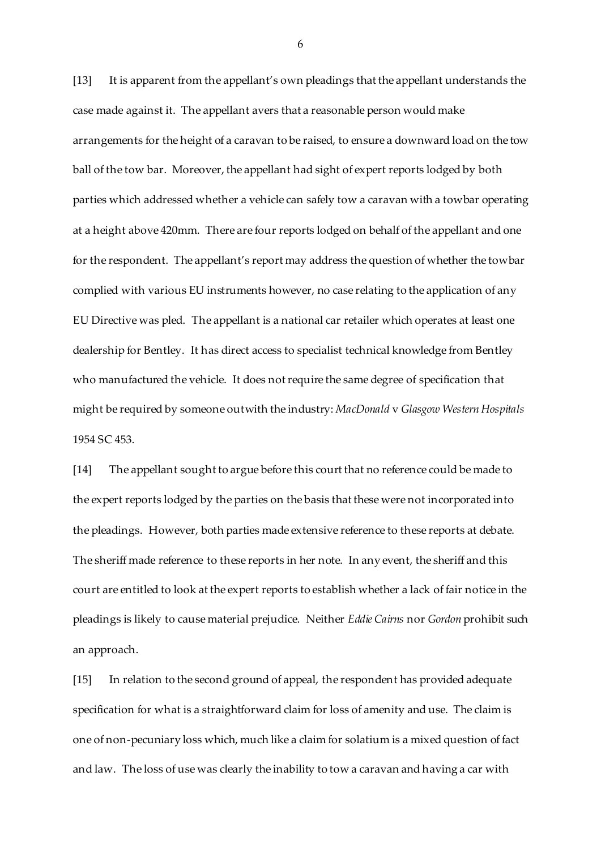[13] It is apparent from the appellant's own pleadings that the appellant understands the case made against it. The appellant avers that a reasonable person would make arrangements for the height of a caravan to be raised, to ensure a downward load on the tow ball of the tow bar. Moreover, the appellant had sight of expert reports lodged by both parties which addressed whether a vehicle can safely tow a caravan with a towbar operating at a height above 420mm. There are four reports lodged on behalf of the appellant and one for the respondent. The appellant's report may address the question of whether the towbar complied with various EU instruments however, no case relating to the application of any EU Directive was pled. The appellant is a national car retailer which operates at least one dealership for Bentley. It has direct access to specialist technical knowledge from Bentley who manufactured the vehicle. It does not require the same degree of specification that might be required by someone outwith the industry: *MacDonald* v *Glasgow Western Hospitals*  1954 SC 453.

[14] The appellant sought to argue before this court that no reference could be made to the expert reports lodged by the parties on the basis that these were not incorporated into the pleadings. However, both parties made extensive reference to these reports at debate. The sheriff made reference to these reports in her note. In any event, the sheriff and this court are entitled to look at the expert reports to establish whether a lack of fair notice in the pleadings is likely to cause material prejudice. Neither *Eddie Cairns* nor *Gordon* prohibit such an approach.

[15] In relation to the second ground of appeal, the respondent has provided adequate specification for what is a straightforward claim for loss of amenity and use. The claim is one of non-pecuniary loss which, much like a claim for solatium is a mixed question of fact and law. The loss of use was clearly the inability to tow a caravan and having a car with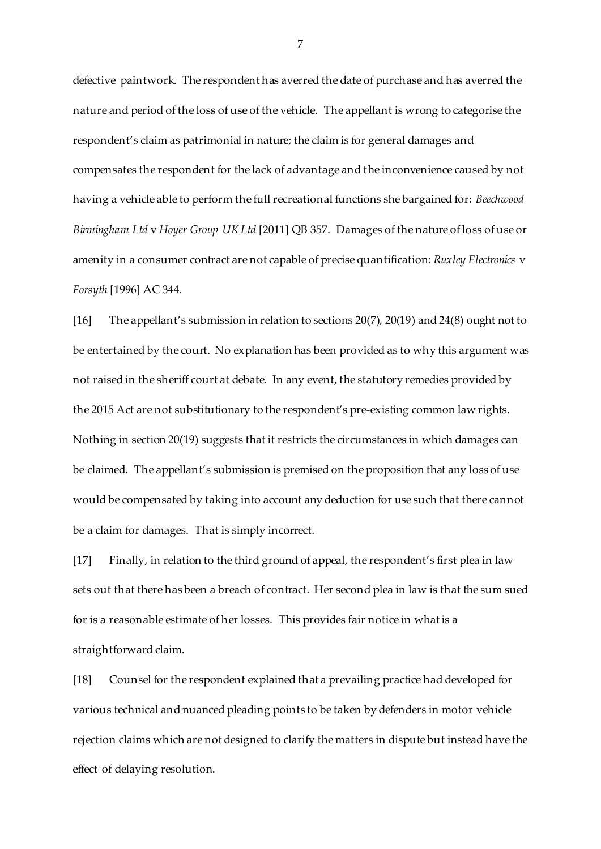defective paintwork. The respondent has averred the date of purchase and has averred the nature and period of the loss of use of the vehicle. The appellant is wrong to categorise the respondent's claim as patrimonial in nature; the claim is for general damages and compensates the respondent for the lack of advantage and the inconvenience caused by not having a vehicle able to perform the full recreational functions she bargained for: *Beechwood Birmingham Ltd* v *Hoyer Group UK Ltd* [2011] QB 357. Damages of the nature of loss of use or amenity in a consumer contract are not capable of precise quantification: *Ruxley Electronics* v *Forsyth* [1996] AC 344.

[16] The appellant's submission in relation to sections 20(7), 20(19) and 24(8) ought not to be entertained by the court. No explanation has been provided as to why this argument was not raised in the sheriff court at debate. In any event, the statutory remedies provided by the 2015 Act are not substitutionary to the respondent's pre-existing common law rights. Nothing in section 20(19) suggests that it restricts the circumstances in which damages can be claimed. The appellant's submission is premised on the proposition that any loss of use would be compensated by taking into account any deduction for use such that there cannot be a claim for damages. That is simply incorrect.

[17] Finally, in relation to the third ground of appeal, the respondent's first plea in law sets out that there has been a breach of contract. Her second plea in law is that the sum sued for is a reasonable estimate of her losses. This provides fair notice in what is a straightforward claim.

[18] Counsel for the respondent explained that a prevailing practice had developed for various technical and nuanced pleading points to be taken by defenders in motor vehicle rejection claims which are not designed to clarify the matters in dispute but instead have the effect of delaying resolution.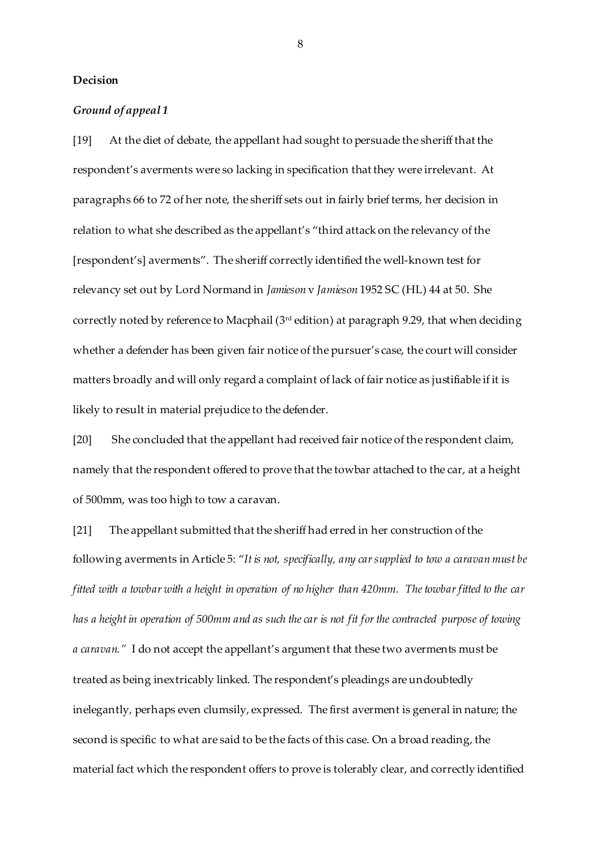### **Decision**

### *Ground of appeal 1*

[19] At the diet of debate, the appellant had sought to persuade the sheriff that the respondent's averments were so lacking in specification that they were irrelevant. At paragraphs 66 to 72 of her note, the sheriff sets out in fairly brief terms, her decision in relation to what she described as the appellant's "third attack on the relevancy of the [respondent's] averments". The sheriff correctly identified the well-known test for relevancy set out by Lord Normand in *Jamieson* v *Jamieson* 1952 SC (HL) 44 at 50. She correctly noted by reference to Macphail (3rd edition) at paragraph 9.29, that when deciding whether a defender has been given fair notice of the pursuer's case, the court will consider matters broadly and will only regard a complaint of lack of fair notice as justifiable if it is likely to result in material prejudice to the defender.

[20] She concluded that the appellant had received fair notice of the respondent claim, namely that the respondent offered to prove that the towbar attached to the car, at a height of 500mm, was too high to tow a caravan.

[21] The appellant submitted that the sheriff had erred in her construction of the following averments in Article 5: "*It is not, specifically, any car supplied to tow a caravan must be fitted with a towbar with a height in operation of no higher than 420mm. The towbar fitted to the car has a height in operation of 500mm and as such the car is not fit for the contracted purpose of towing a caravan."* I do not accept the appellant's argument that these two averments must be treated as being inextricably linked. The respondent's pleadings are undoubtedly inelegantly, perhaps even clumsily, expressed. The first averment is general in nature; the second is specific to what are said to be the facts of this case. On a broad reading, the material fact which the respondent offers to prove is tolerably clear, and correctly identified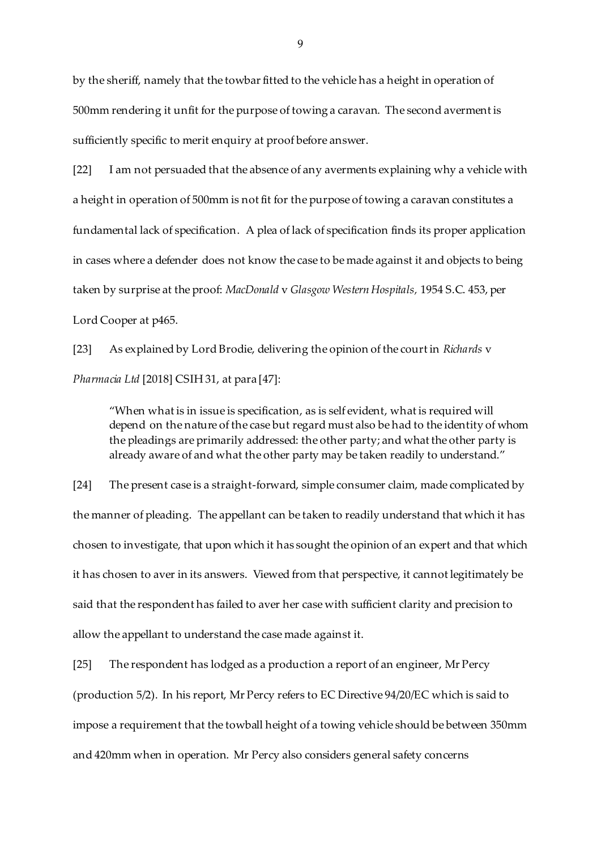by the sheriff, namely that the towbar fitted to the vehicle has a height in operation of 500mm rendering it unfit for the purpose of towing a caravan. The second averment is sufficiently specific to merit enquiry at proof before answer.

[22] I am not persuaded that the absence of any averments explaining why a vehicle with a height in operation of 500mm is not fit for the purpose of towing a caravan constitutes a fundamental lack of specification. A plea of lack of specification finds its proper application in cases where a defender does not know the case to be made against it and objects to being taken by surprise at the proof: *MacDonald* v *Glasgow Western Hospitals,* 1954 S.C. 453, per Lord Cooper at p465.

[23] As explained by Lord Brodie, delivering the opinion of the court in *Richards* v *Pharmacia Ltd* [2018] CSIH 31, at para [47]:

"When what is in issue is specification, as is self evident, what is required will depend on the nature of the case but regard must also be had to the identity of whom the pleadings are primarily addressed: the other party; and what the other party is already aware of and what the other party may be taken readily to understand."

[24] The present case is a straight-forward, simple consumer claim, made complicated by the manner of pleading. The appellant can be taken to readily understand that which it has chosen to investigate, that upon which it has sought the opinion of an expert and that which it has chosen to aver in its answers. Viewed from that perspective, it cannot legitimately be said that the respondent has failed to aver her case with sufficient clarity and precision to allow the appellant to understand the case made against it.

[25] The respondent has lodged as a production a report of an engineer, Mr Percy (production 5/2). In his report, Mr Percy refers to EC Directive 94/20/EC which is said to impose a requirement that the towball height of a towing vehicle should be between 350mm and 420mm when in operation. Mr Percy also considers general safety concerns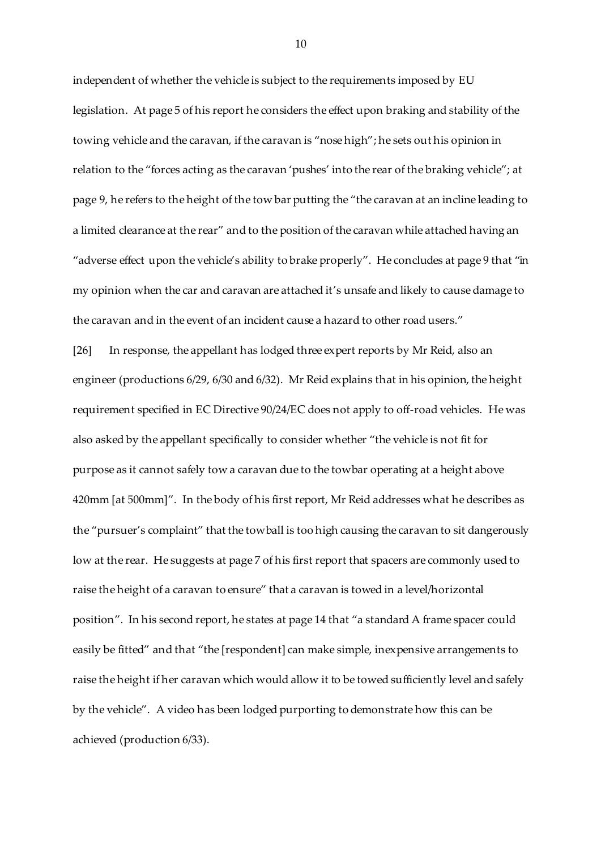independent of whether the vehicle is subject to the requirements imposed by EU legislation. At page 5 of his report he considers the effect upon braking and stability of the towing vehicle and the caravan, if the caravan is "nose high"; he sets out his opinion in relation to the "forces acting as the caravan 'pushes' into the rear of the braking vehicle"; at page 9, he refers to the height of the tow bar putting the "the caravan at an incline leading to a limited clearance at the rear" and to the position of the caravan while attached having an "adverse effect upon the vehicle's ability to brake properly". He concludes at page 9 that "in my opinion when the car and caravan are attached it's unsafe and likely to cause damage to the caravan and in the event of an incident cause a hazard to other road users."

[26] In response, the appellant has lodged three expert reports by Mr Reid, also an engineer (productions 6/29, 6/30 and 6/32). Mr Reid explains that in his opinion, the height requirement specified in EC Directive 90/24/EC does not apply to off-road vehicles. He was also asked by the appellant specifically to consider whether "the vehicle is not fit for purpose as it cannot safely tow a caravan due to the towbar operating at a height above 420mm [at 500mm]". In the body of his first report, Mr Reid addresses what he describes as the "pursuer's complaint" that the towball is too high causing the caravan to sit dangerously low at the rear. He suggests at page 7 of his first report that spacers are commonly used to raise the height of a caravan to ensure" that a caravan is towed in a level/horizontal position". In his second report, he states at page 14 that "a standard A frame spacer could easily be fitted" and that "the [respondent] can make simple, inexpensive arrangements to raise the height if her caravan which would allow it to be towed sufficiently level and safely by the vehicle". A video has been lodged purporting to demonstrate how this can be achieved (production 6/33).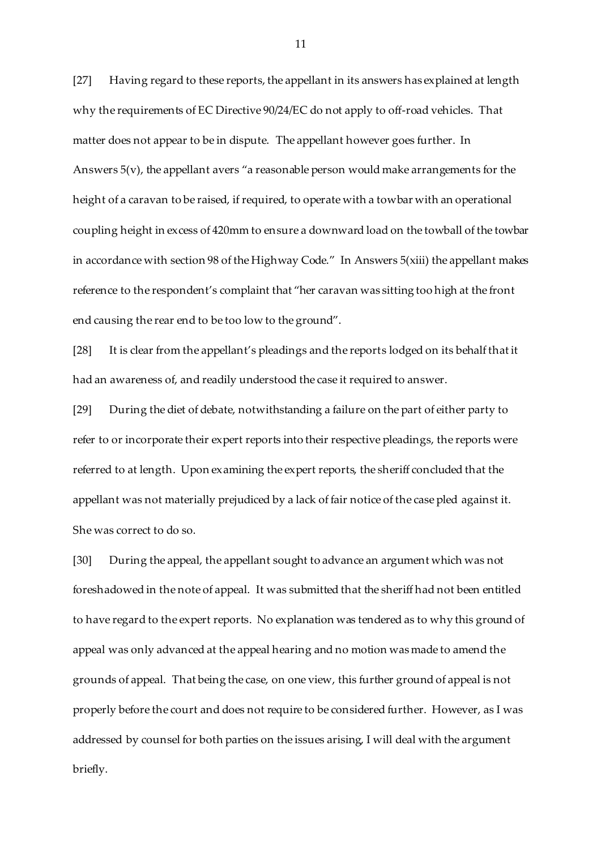[27] Having regard to these reports, the appellant in its answers has explained at length why the requirements of EC Directive 90/24/EC do not apply to off-road vehicles. That matter does not appear to be in dispute. The appellant however goes further. In Answers 5(v), the appellant avers "a reasonable person would make arrangements for the height of a caravan to be raised, if required, to operate with a towbar with an operational coupling height in excess of 420mm to ensure a downward load on the towball of the towbar in accordance with section 98 of the Highway Code." In Answers 5(xiii) the appellant makes reference to the respondent's complaint that "her caravan was sitting too high at the front end causing the rear end to be too low to the ground".

[28] It is clear from the appellant's pleadings and the reports lodged on its behalf that it had an awareness of, and readily understood the case it required to answer.

[29] During the diet of debate, notwithstanding a failure on the part of either party to refer to or incorporate their expert reports into their respective pleadings, the reports were referred to at length. Upon examining the expert reports, the sheriff concluded that the appellant was not materially prejudiced by a lack of fair notice of the case pled against it. She was correct to do so.

[30] During the appeal, the appellant sought to advance an argument which was not foreshadowed in the note of appeal. It was submitted that the sheriff had not been entitled to have regard to the expert reports. No explanation was tendered as to why this ground of appeal was only advanced at the appeal hearing and no motion was made to amend the grounds of appeal. That being the case, on one view, this further ground of appeal is not properly before the court and does not require to be considered further. However, as I was addressed by counsel for both parties on the issues arising, I will deal with the argument briefly.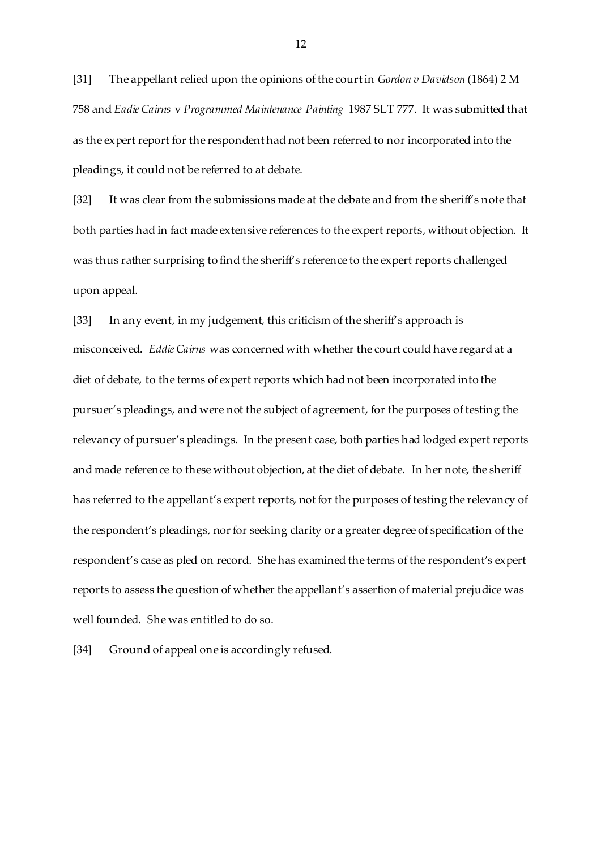[31] The appellant relied upon the opinions of the court in *Gordon v Davidson* (1864) 2 M 758 and *Eadie Cairns* v *Programmed Maintenance Painting* 1987 SLT 777. It was submitted that as the expert report for the respondent had not been referred to nor incorporated into the pleadings, it could not be referred to at debate.

[32] It was clear from the submissions made at the debate and from the sheriff's note that both parties had in fact made extensive references to the expert reports, without objection. It was thus rather surprising to find the sheriff's reference to the expert reports challenged upon appeal.

[33] In any event, in my judgement, this criticism of the sheriff's approach is misconceived. *Eddie Cairns* was concerned with whether the court could have regard at a diet of debate, to the terms of expert reports which had not been incorporated into the pursuer's pleadings, and were not the subject of agreement, for the purposes of testing the relevancy of pursuer's pleadings. In the present case, both parties had lodged expert reports and made reference to these without objection, at the diet of debate. In her note, the sheriff has referred to the appellant's expert reports, not for the purposes of testing the relevancy of the respondent's pleadings, nor for seeking clarity or a greater degree of specification of the respondent's case as pled on record. She has examined the terms of the respondent's expert reports to assess the question of whether the appellant's assertion of material prejudice was well founded. She was entitled to do so.

[34] Ground of appeal one is accordingly refused.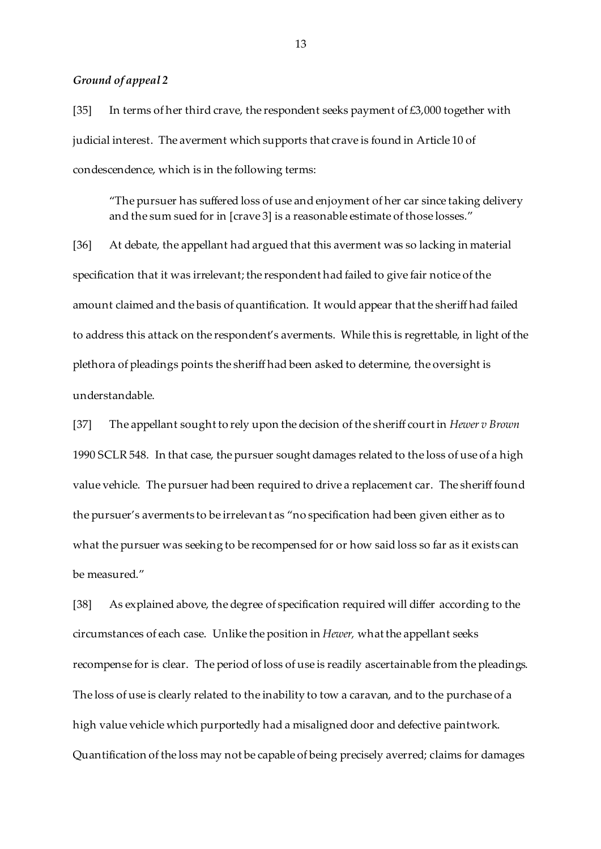## *Ground of appeal 2*

[35] In terms of her third crave, the respondent seeks payment of  $£3,000$  together with judicial interest. The averment which supports that crave is found in Article 10 of condescendence, which is in the following terms:

"The pursuer has suffered loss of use and enjoyment of her car since taking delivery and the sum sued for in [crave 3] is a reasonable estimate of those losses."

[36] At debate, the appellant had argued that this averment was so lacking in material specification that it was irrelevant; the respondent had failed to give fair notice of the amount claimed and the basis of quantification. It would appear that the sheriff had failed to address this attack on the respondent's averments. While this is regrettable, in light of the plethora of pleadings points the sheriff had been asked to determine, the oversight is understandable.

[37] The appellant sought to rely upon the decision of the sheriff court in *Hewer v Brown*  1990 SCLR 548. In that case, the pursuer sought damages related to the loss of use of a high value vehicle. The pursuer had been required to drive a replacement car. The sheriff found the pursuer's averments to be irrelevant as "no specification had been given either as to what the pursuer was seeking to be recompensed for or how said loss so far as it exists can be measured."

[38] As explained above, the degree of specification required will differ according to the circumstances of each case. Unlike the position in *Hewer,* what the appellant seeks recompense for is clear. The period of loss of use is readily ascertainable from the pleadings. The loss of use is clearly related to the inability to tow a caravan, and to the purchase of a high value vehicle which purportedly had a misaligned door and defective paintwork. Quantification of the loss may not be capable of being precisely averred; claims for damages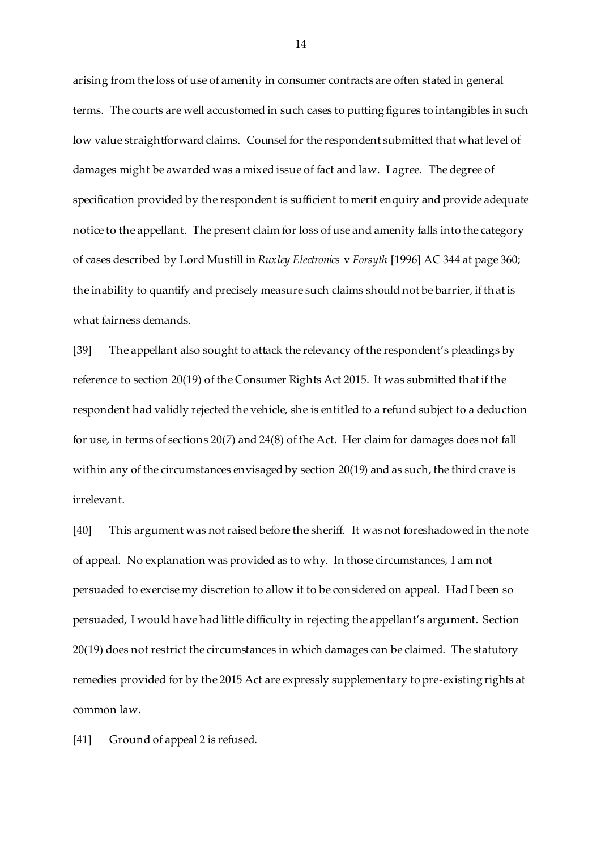arising from the loss of use of amenity in consumer contracts are often stated in general terms. The courts are well accustomed in such cases to putting figures to intangibles in such low value straightforward claims. Counsel for the respondent submitted that what level of damages might be awarded was a mixed issue of fact and law. I agree. The degree of specification provided by the respondent is sufficient to merit enquiry and provide adequate notice to the appellant. The present claim for loss of use and amenity falls into the category of cases described by Lord Mustill in *Ruxley Electronics* v *Forsyth* [1996] AC 344 at page 360; the inability to quantify and precisely measure such claims should not be barrier, if that is what fairness demands.

[39] The appellant also sought to attack the relevancy of the respondent's pleadings by reference to section 20(19) of the Consumer Rights Act 2015. It was submitted that if the respondent had validly rejected the vehicle, she is entitled to a refund subject to a deduction for use, in terms of sections 20(7) and 24(8) of the Act. Her claim for damages does not fall within any of the circumstances envisaged by section 20(19) and as such, the third crave is irrelevant.

[40] This argument was not raised before the sheriff. It was not foreshadowed in the note of appeal. No explanation was provided as to why. In those circumstances, I am not persuaded to exercise my discretion to allow it to be considered on appeal. Had I been so persuaded, I would have had little difficulty in rejecting the appellant's argument. Section 20(19) does not restrict the circumstances in which damages can be claimed. The statutory remedies provided for by the 2015 Act are expressly supplementary to pre-existing rights at common law.

[41] Ground of appeal 2 is refused.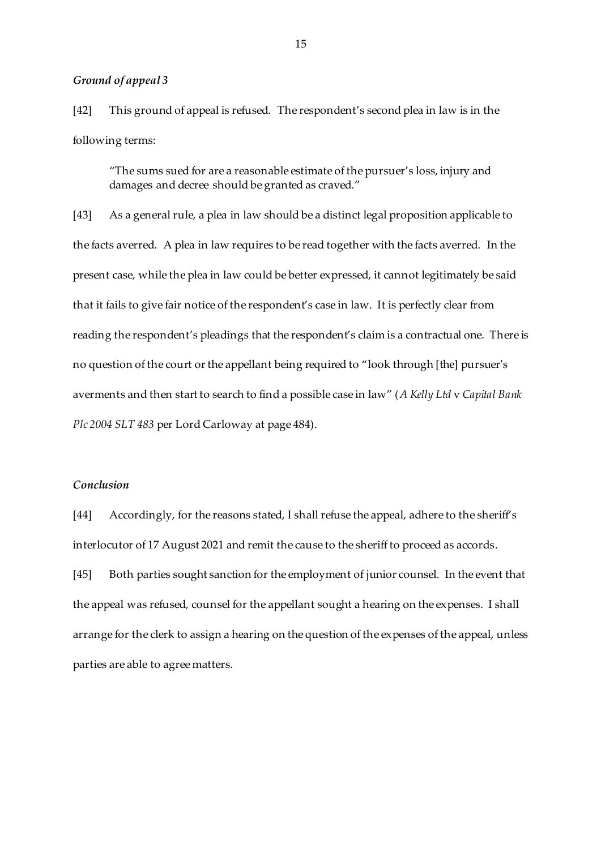## *Ground of appeal 3*

[42] This ground of appeal is refused. The respondent's second plea in law is in the following terms:

"The sums sued for are a reasonable estimate of the pursuer's loss, injury and damages and decree should be granted as craved."

[43] As a general rule, a plea in law should be a distinct legal proposition applicable to the facts averred. A plea in law requires to be read together with the facts averred. In the present case, while the plea in law could be better expressed, it cannot legitimately be said that it fails to give fair notice of the respondent's case in law. It is perfectly clear from reading the respondent's pleadings that the respondent's claim is a contractual one. There is no question of the court or the appellant being required to "look through [the] pursuer's averments and then start to search to find a possible case in law" (*A Kelly Ltd* v *Capital Bank Plc 2004 SLT 483* per Lord Carloway at page 484).

# *Conclusion*

[44] Accordingly, for the reasons stated, I shall refuse the appeal, adhere to the sheriff's interlocutor of 17 August 2021 and remit the cause to the sheriff to proceed as accords. [45] Both parties sought sanction for the employment of junior counsel. In the event that the appeal was refused, counsel for the appellant sought a hearing on the expenses. I shall arrange for the clerk to assign a hearing on the question of the expenses of the appeal, unless parties are able to agree matters.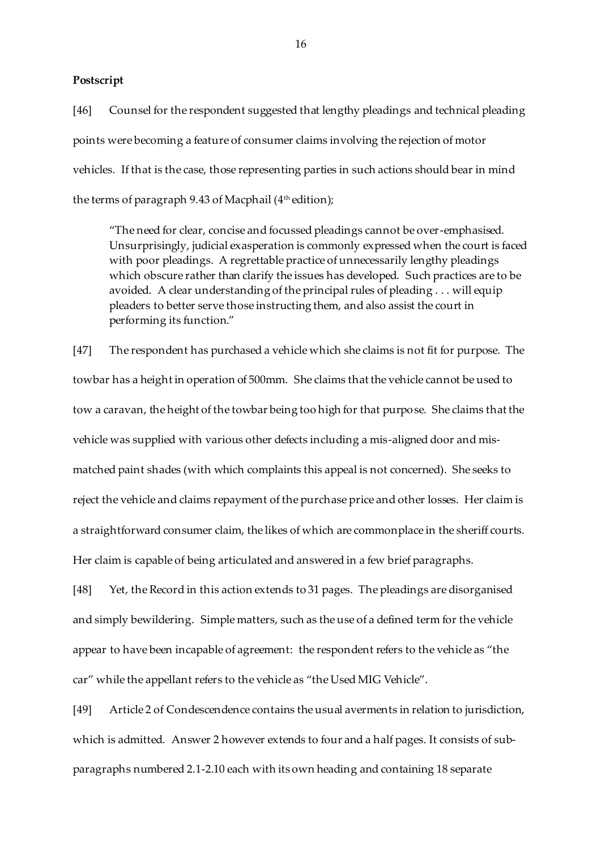## **Postscript**

[46] Counsel for the respondent suggested that lengthy pleadings and technical pleading points were becoming a feature of consumer claims involving the rejection of motor vehicles. If that is the case, those representing parties in such actions should bear in mind the terms of paragraph 9.43 of Macphail (4<sup>th</sup> edition);

"The need for clear, concise and focussed pleadings cannot be over-emphasised. Unsurprisingly, judicial exasperation is commonly expressed when the court is faced with poor pleadings. A regrettable practice of unnecessarily lengthy pleadings which obscure rather than clarify the issues has developed. Such practices are to be avoided. A clear understanding of the principal rules of pleading . . . will equip pleaders to better serve those instructing them, and also assist the court in performing its function."

[47] The respondent has purchased a vehicle which she claims is not fit for purpose. The towbar has a height in operation of 500mm. She claims that the vehicle cannot be used to tow a caravan, the height of the towbar being too high for that purpose. She claims that the vehicle was supplied with various other defects including a mis-aligned door and mismatched paint shades (with which complaints this appeal is not concerned). She seeks to reject the vehicle and claims repayment of the purchase price and other losses. Her claim is a straightforward consumer claim, the likes of which are commonplace in the sheriff courts. Her claim is capable of being articulated and answered in a few brief paragraphs.

[48] Yet, the Record in this action extends to 31 pages. The pleadings are disorganised and simply bewildering. Simple matters, such as the use of a defined term for the vehicle appear to have been incapable of agreement: the respondent refers to the vehicle as "the car" while the appellant refers to the vehicle as "the Used MIG Vehicle".

[49] Article 2 of Condescendence contains the usual averments in relation to jurisdiction, which is admitted. Answer 2 however extends to four and a half pages. It consists of subparagraphs numbered 2.1-2.10 each with its own heading and containing 18 separate